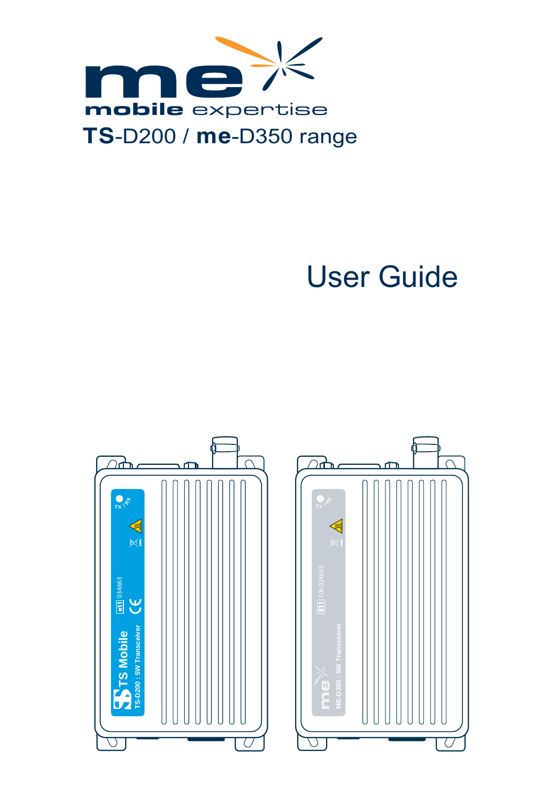

# User Guide



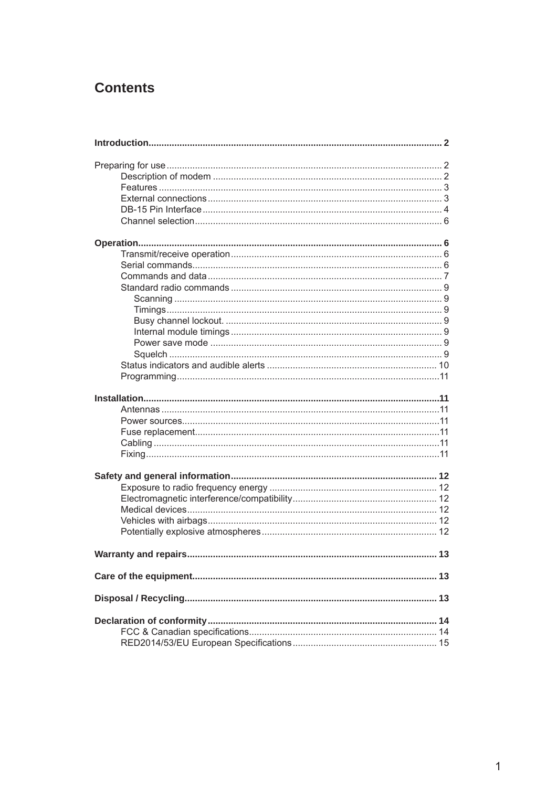## **Contents**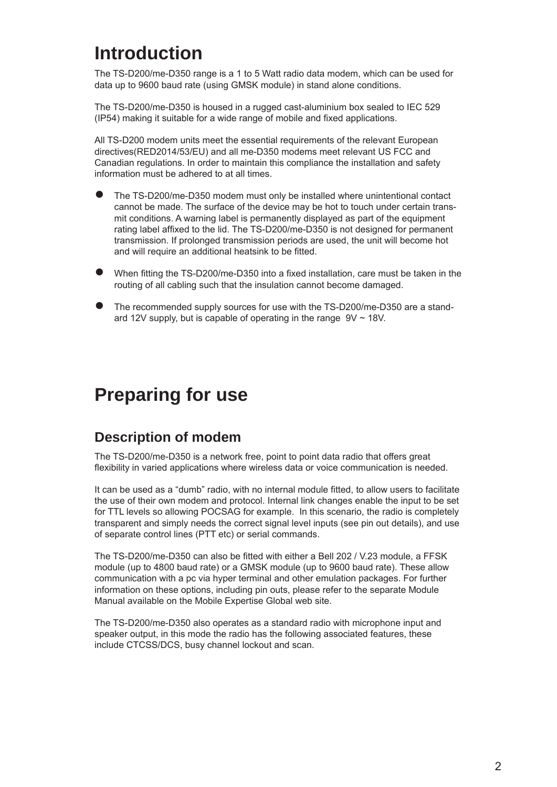## **Introduction**

The TS-D200/me-D350 range is a 1 to 5 Watt radio data modem, which can be used for data up to 9600 baud rate (using GMSK module) in stand alone conditions.

The TS-D200/me-D350 is housed in a rugged cast-aluminium box sealed to IEC 529 (IP54) making it suitable for a wide range of mobile and fixed applications.

All TS-D200 modem units meet the essential requirements of the relevant European directives(RED2014/53/EU) and all me-D350 modems meet relevant US FCC and Canadian regulations. In order to maintain this compliance the installation and safety information must be adhered to at all times.

- The TS-D200/me-D350 modem must only be installed where unintentional contact cannot be made. The surface of the device may be hot to touch under certain transmit conditions. A warning label is permanently displayed as part of the equipment rating label affixed to the lid. The TS-D200/me-D350 is not designed for permanent transmission. If prolonged transmission periods are used, the unit will become hot and will require an additional heatsink to be fitted. ●
- When fitting the TS-D200/me-D350 into a fixed installation, care must be taken in the routing of all cabling such that the insulation cannot become damaged. ●
- The recommended supply sources for use with the TS-D200/me-D350 are a standard 12V supply, but is capable of operating in the range  $9V \sim 18V$ . ●

## **Preparing for use**

## **Description of modem**

The TS-D200/me-D350 is a network free, point to point data radio that offers great flexibility in varied applications where wireless data or voice communication is needed.

It can be used as a "dumb" radio, with no internal module fitted, to allow users to facilitate the use of their own modem and protocol. Internal link changes enable the input to be set for TTL levels so allowing POCSAG for example. In this scenario, the radio is completely transparent and simply needs the correct signal level inputs (see pin out details), and use of separate control lines (PTT etc) or serial commands.

The TS-D200/me-D350 can also be fitted with either a Bell 202 / V.23 module, a FFSK module (up to 4800 baud rate) or a GMSK module (up to 9600 baud rate). These allow communication with a pc via hyper terminal and other emulation packages. For further information on these options, including pin outs, please refer to the separate Module Manual available on the Mobile Expertise Global web site.

The TS-D200/me-D350 also operates as a standard radio with microphone input and speaker output, in this mode the radio has the following associated features, these include CTCSS/DCS, busy channel lockout and scan.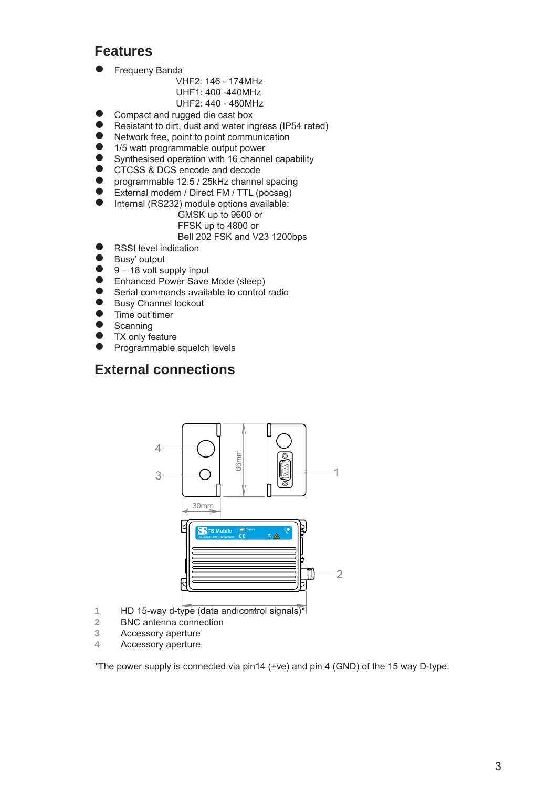## **Features**

- Frequeny Banda  $\bullet$ 
	- VHF2: 146 174MHz UHF1: 400 -440MHz UHF2: 440 - 480MHz
- Compact and rugged die cast box  $\bullet$
- Resistant to dirt, dust and water ingress (IP54 rated)  $\bullet$
- Network free, point to point communication  $\bullet$
- 1/5 watt programmable output power  $\bullet$
- Synthesised operation with 16 channel capability  $\bullet$
- CTCSS & DCS encode and decode  $\bullet$
- programmable 12.5 / 25kHz channel spacing ●
- External modem / Direct FM / TTL (pocsag)  $\bullet$
- Internal (RS232) module options available:  $\bullet$

#### GMSK up to 9600 or FFSK up to 4800 or

- Bell 202 FSK and V23 1200bps
- RSSI level indication  $\bullet$
- Busy' output  $\bullet$
- 9 18 volt supply input  $\bullet$
- Enhanced Power Save Mode (sleep)  $\bullet$
- Serial commands available to control radio  $\bullet$
- Busy Channel lockout  $\bullet$
- Time out timer  $\bullet$
- **Scanning**  $\bullet$
- TX only feature  $\bullet$
- Programmable squelch levels  $\bullet$

## **External connections**



- 1 HD 15-way d-type (data and control signals)<sup>\*</sup>
- **2** BNC antenna connection
- **3** Accessory aperture
- **4** Accessory aperture

\*The power supply is connected via pin14 (+ve) and pin 4 (GND) of the 15 way D-type.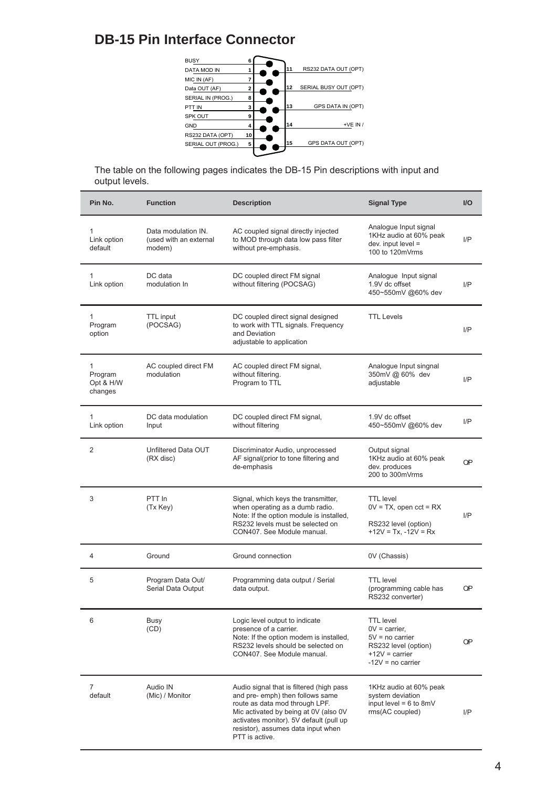## **DB-15 Pin Interface Connector**

| <b>BUSY</b>        | 6  |    |                       |
|--------------------|----|----|-----------------------|
| <b>DATA MOD IN</b> |    | 11 | RS232 DATA OUT (OPT)  |
| MIC IN (AF)        |    |    |                       |
| Data OUT (AF)      | 2  | 12 | SERIAL BUSY OUT (OPT) |
| SERIAL IN (PROG.)  | 8  |    |                       |
| PTT IN             | 3  | 13 | GPS DATA IN (OPT)     |
| <b>SPK OUT</b>     | 9  |    |                       |
| <b>GND</b>         | 4  | 14 | $+VE IN/$             |
| RS232 DATA (OPT)   | 10 |    |                       |
| SERIAL OUT (PROG.) | 5  | 15 | GPS DATA OUT (OPT)    |
|                    |    |    |                       |

The table on the following pages indicates the DB-15 Pin descriptions with input and output levels.

| Pin No.                                         | <b>Function</b>                                         | <b>Description</b>                                                                                                                                                                                                                                         | <b>Signal Type</b>                                                                                                               | $U$       |
|-------------------------------------------------|---------------------------------------------------------|------------------------------------------------------------------------------------------------------------------------------------------------------------------------------------------------------------------------------------------------------------|----------------------------------------------------------------------------------------------------------------------------------|-----------|
| $\mathbf{1}$<br>Link option<br>default          | Data modulation IN.<br>(used with an external<br>modem) | AC coupled signal directly injected<br>to MOD through data low pass filter<br>without pre-emphasis.                                                                                                                                                        | Analogue Input signal<br>1KHz audio at 60% peak<br>$dev.$ input level =<br>100 to 120mVrms                                       | I/P       |
| $\mathbf{1}$<br>Link option                     | DC data<br>modulation In                                | DC coupled direct FM signal<br>without filtering (POCSAG)                                                                                                                                                                                                  | Analogue Input signal<br>1.9V dc offset<br>450~550mV @60% dev                                                                    | I/P       |
| $\mathbf{1}$<br>Program<br>option               | TTL input<br>(POCSAG)                                   | DC coupled direct signal designed<br>to work with TTL signals. Frequency<br>and Deviation<br>adjustable to application                                                                                                                                     | <b>TTL Levels</b>                                                                                                                | I/P       |
| $\mathbf{1}$<br>Program<br>Opt & H/W<br>changes | AC coupled direct FM<br>modulation                      | AC coupled direct FM signal,<br>without filtering.<br>Program to TTL                                                                                                                                                                                       | Analogue Input singnal<br>350mV @ 60% dev<br>adjustable                                                                          | I/P       |
| 1<br>Link option                                | DC data modulation<br>Input                             | DC coupled direct FM signal,<br>without filtering                                                                                                                                                                                                          | 1.9V dc offset<br>450~550mV @60% dev                                                                                             | I/P       |
| 2                                               | Unfiltered Data OUT<br>(RX disc)                        | Discriminator Audio, unprocessed<br>AF signal(prior to tone filtering and<br>de-emphasis                                                                                                                                                                   | Output signal<br>1KHz audio at 60% peak<br>dev. produces<br>200 to 300mVrms                                                      | <b>OP</b> |
| 3                                               | PTT In<br>(Tx Key)                                      | Signal, which keys the transmitter,<br>when operating as a dumb radio.<br>Note: If the option module is installed,<br>RS232 levels must be selected on<br>CON407. See Module manual.                                                                       | <b>TTL</b> level<br>$0V = TX$ , open $cct = RX$<br>RS232 level (option)<br>$+12V = Tx$ , $-12V = Rx$                             | I/P       |
| 4                                               | Ground                                                  | Ground connection                                                                                                                                                                                                                                          | 0V (Chassis)                                                                                                                     |           |
| 5                                               | Program Data Out/<br>Serial Data Output                 | Programming data output / Serial<br>data output.                                                                                                                                                                                                           | <b>TTL</b> level<br>(programming cable has<br>RS232 converter)                                                                   | OΡ        |
| 6                                               | Busy<br>(CD)                                            | Logic level output to indicate<br>presence of a carrier.<br>Note: If the option modem is installed,<br>RS232 levels should be selected on<br>CON407. See Module manual.                                                                                    | <b>TTL</b> level<br>$0V = \text{carrier},$<br>5V = no carrier<br>RS232 level (option)<br>$+12V = carrier$<br>$-12V = no carrier$ | <b>OP</b> |
| 7<br>default                                    | Audio IN<br>(Mic) / Monitor                             | Audio signal that is filtered (high pass<br>and pre- emph) then follows same<br>route as data mod through LPF.<br>Mic activated by being at 0V (also 0V<br>activates monitor). 5V default (pull up<br>resistor), assumes data input when<br>PTT is active. | 1KHz audio at 60% peak<br>system deviation<br>input level = $6$ to 8mV<br>rms(AC coupled)                                        | I/P       |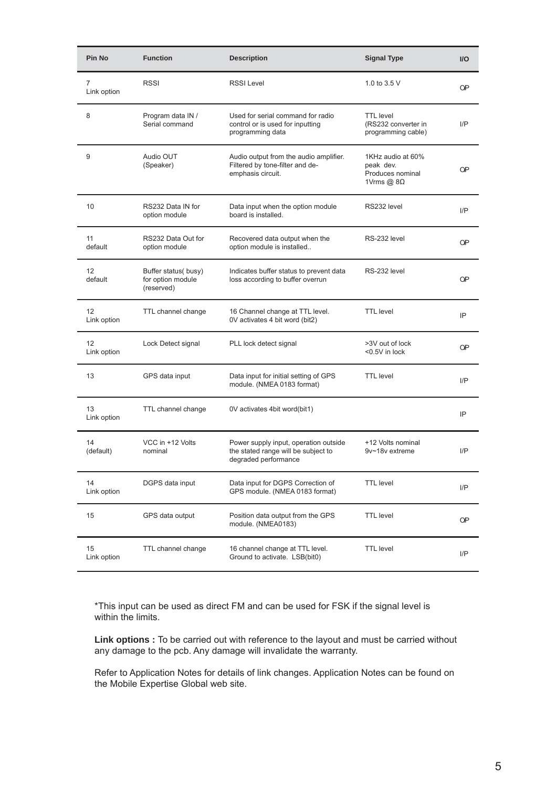| Pin No            | <b>Function</b>                                        | <b>Description</b>                                                                                   | <b>Signal Type</b>                                                         | $UO$      |
|-------------------|--------------------------------------------------------|------------------------------------------------------------------------------------------------------|----------------------------------------------------------------------------|-----------|
| 7<br>Link option  | <b>RSSI</b>                                            | <b>RSSI Level</b>                                                                                    | 1.0 to 3.5 V                                                               | <b>OP</b> |
| 8                 | Program data IN /<br>Serial command                    | Used for serial command for radio<br>control or is used for inputting<br>programming data            | <b>TTL</b> level<br>(RS232 converter in<br>programming cable)              | I/P       |
| 9                 | Audio OUT<br>(Speaker)                                 | Audio output from the audio amplifier.<br>Filtered by tone-filter and de-<br>emphasis circuit.       | 1KHz audio at 60%<br>peak dev.<br>Produces nominal<br>1Vrms $@$ 8 $\Omega$ | <b>OP</b> |
| 10                | RS232 Data IN for<br>option module                     | Data input when the option module<br>board is installed.                                             | RS232 level                                                                | I/P       |
| 11<br>default     | RS232 Data Out for<br>option module                    | Recovered data output when the<br>option module is installed                                         | RS-232 level                                                               | <b>OP</b> |
| 12<br>default     | Buffer status(busy)<br>for option module<br>(reserved) | Indicates buffer status to prevent data<br>loss according to buffer overrun                          | RS-232 level                                                               | <b>OP</b> |
| 12<br>Link option | TTL channel change                                     | 16 Channel change at TTL level.<br>0V activates 4 bit word (bit2)                                    | <b>TTL</b> level                                                           | IP        |
| 12<br>Link option | Lock Detect signal                                     | PLL lock detect signal                                                                               | >3V out of lock<br><0.5V in lock                                           | <b>OP</b> |
| 13                | GPS data input                                         | Data input for initial setting of GPS<br>module. (NMEA 0183 format)                                  | <b>TTL</b> level                                                           | I/P       |
| 13<br>Link option | TTL channel change                                     | 0V activates 4bit word(bit1)                                                                         |                                                                            | IP        |
| 14<br>(default)   | VCC in +12 Volts<br>nominal                            | Power supply input, operation outside<br>the stated range will be subject to<br>degraded performance | +12 Volts nominal<br>9v~18v extreme                                        | I/P       |
| 14<br>Link option | DGPS data input                                        | Data input for DGPS Correction of<br>GPS module. (NMEA 0183 format)                                  | <b>TTL</b> level                                                           | I/P       |
| 15                | GPS data output                                        | Position data output from the GPS<br>module. (NMEA0183)                                              | <b>TTL</b> level                                                           | <b>OP</b> |
| 15<br>Link option | TTL channel change                                     | 16 channel change at TTL level.<br>Ground to activate. LSB(bit0)                                     | <b>TTL</b> level                                                           | I/P       |

\*This input can be used as direct FM and can be used for FSK if the signal level is within the limits.

**Link options :** To be carried out with reference to the layout and must be carried without any damage to the pcb. Any damage will invalidate the warranty.

Refer to Application Notes for details of link changes. Application Notes can be found on the Mobile Expertise Global web site.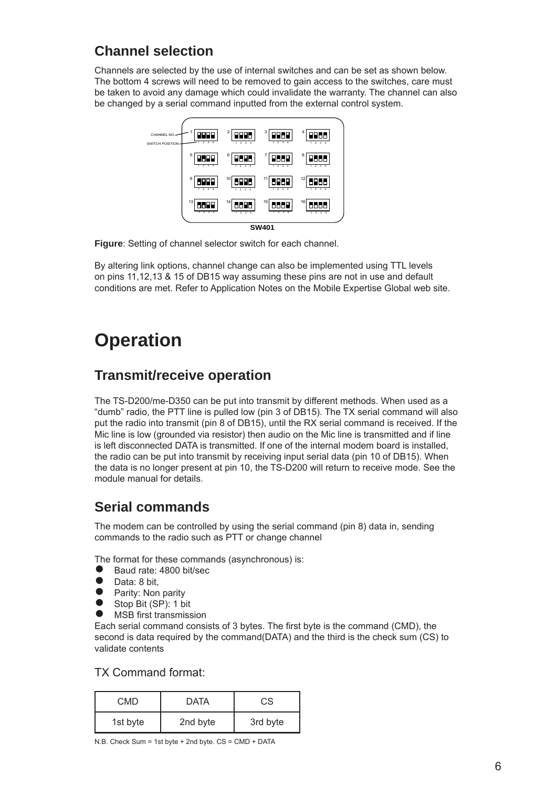## **Channel selection**

Channels are selected by the use of internal switches and can be set as shown below. The bottom 4 screws will need to be removed to gain access to the switches, care must be taken to avoid any damage which could invalidate the warranty. The channel can also be changed by a serial command inputted from the external control system.



**Figure**: Setting of channel selector switch for each channel.

By altering link options, channel change can also be implemented using TTL levels on pins 11,12,13 & 15 of DB15 way assuming these pins are not in use and default conditions are met. Refer to Application Notes on the Mobile Expertise Global web site.

## **Operation**

#### **Transmit/receive operation**

The TS-D200/me-D350 can be put into transmit by different methods. When used as a "dumb" radio, the PTT line is pulled low (pin 3 of DB15). The TX serial command will also put the radio into transmit (pin 8 of DB15), until the RX serial command is received. If the Mic line is low (grounded via resistor) then audio on the Mic line is transmitted and if line is left disconnected DATA is transmitted. If one of the internal modem board is installed, the radio can be put into transmit by receiving input serial data (pin 10 of DB15). When the data is no longer present at pin 10, the TS-D200 will return to receive mode. See the module manual for details.

### **Serial commands**

The modem can be controlled by using the serial command (pin 8) data in, sending commands to the radio such as PTT or change channel

The format for these commands (asynchronous) is:<br>● Baud rate: 4800 bit/sec

- Baud rate: 4800 bit/sec
- Data: 8 bit. ●
- Parity: Non parity  $\bullet$
- Stop Bit (SP): 1 bit ●
- MSB first transmission ●

Each serial command consists of 3 bytes. The first byte is the command (CMD), the second is data required by the command(DATA) and the third is the check sum (CS) to validate contents

#### TX Command format:

| <b>CMD</b> | <b>DATA</b> | CS       |
|------------|-------------|----------|
| 1st byte   | 2nd byte    | 3rd byte |

N.B. Check Sum = 1st byte + 2nd byte. CS = CMD + DATA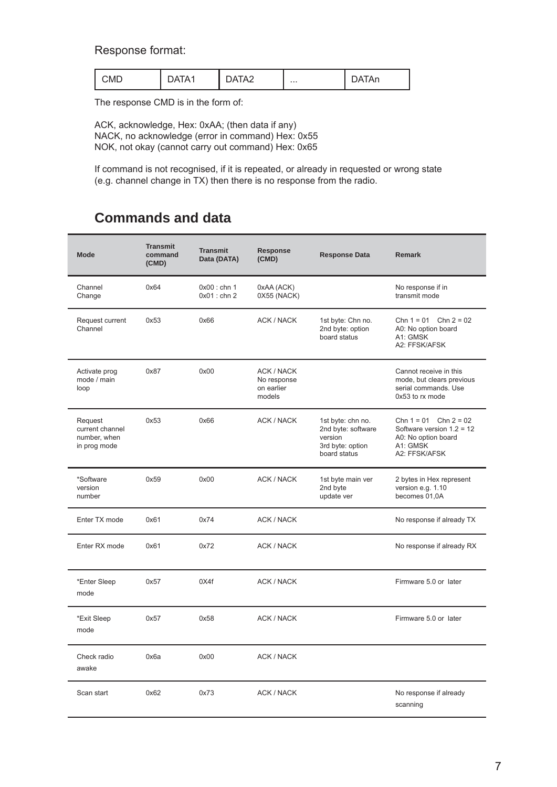#### Response format:

| $\therefore$ MF<br>. | $\cdots$<br>. | "∧ ^ | $\cdots$ |  |
|----------------------|---------------|------|----------|--|
|----------------------|---------------|------|----------|--|

The response CMD is in the form of:

ACK, acknowledge, Hex: 0xAA; (then data if any) NACK, no acknowledge (error in command) Hex: 0x55 NOK, not okay (cannot carry out command) Hex: 0x65

If command is not recognised, if it is repeated, or already in requested or wrong state (e.g. channel change in TX) then there is no response from the radio.

## **Commands and data**

| <b>Mode</b>                                                | <b>Transmit</b><br>command<br>(CMD) | <b>Transmit</b><br>Data (DATA)  | <b>Response</b><br>(CMD)                                 | <b>Response Data</b>                                                                   | <b>Remark</b>                                                                                                |
|------------------------------------------------------------|-------------------------------------|---------------------------------|----------------------------------------------------------|----------------------------------------------------------------------------------------|--------------------------------------------------------------------------------------------------------------|
| Channel<br>Change                                          | 0x64                                | $0x00:$ chn 1<br>$0x01$ : chn 2 | 0xAA (ACK)<br>0X55 (NACK)                                |                                                                                        | No response if in<br>transmit mode                                                                           |
| Request current<br>Channel                                 | 0x53                                | 0x66                            | ACK / NACK                                               | 1st byte: Chn no.<br>2nd byte: option<br>board status                                  | Chn $1 = 01$ Chn $2 = 02$<br>A0: No option board<br>A1: GMSK<br>A2: FFSK/AFSK                                |
| Activate prog<br>mode / main<br>loop                       | 0x87                                | 0x00                            | <b>ACK / NACK</b><br>No response<br>on earlier<br>models |                                                                                        | Cannot receive in this<br>mode, but clears previous<br>serial commands. Use<br>0x53 to rx mode               |
| Request<br>current channel<br>number, when<br>in prog mode | 0x53                                | 0x66                            | ACK / NACK                                               | 1st byte: chn no.<br>2nd byte: software<br>version<br>3rd byte: option<br>board status | Chn $1 = 01$ Chn $2 = 02$<br>Software version $1.2 = 12$<br>A0: No option board<br>A1: GMSK<br>A2: FFSK/AFSK |
| *Software<br>version<br>number                             | 0x59                                | 0x00                            | ACK / NACK                                               | 1st byte main ver<br>2nd byte<br>update ver                                            | 2 bytes in Hex represent<br>version e.g. 1.10<br>becomes 01,0A                                               |
| Enter TX mode                                              | 0x61                                | 0x74                            | ACK / NACK                                               |                                                                                        | No response if already TX                                                                                    |
| Enter RX mode                                              | 0x61                                | 0x72                            | <b>ACK / NACK</b>                                        |                                                                                        | No response if already RX                                                                                    |
| *Enter Sleep<br>mode                                       | 0x57                                | 0X4f                            | ACK / NACK                                               |                                                                                        | Firmware 5.0 or later                                                                                        |
| *Exit Sleep<br>mode                                        | 0x57                                | 0x58                            | ACK / NACK                                               |                                                                                        | Firmware 5.0 or later                                                                                        |
| Check radio<br>awake                                       | 0x6a                                | 0x00                            | <b>ACK / NACK</b>                                        |                                                                                        |                                                                                                              |
| Scan start                                                 | 0x62                                | 0x73                            | ACK / NACK                                               |                                                                                        | No response if already<br>scanning                                                                           |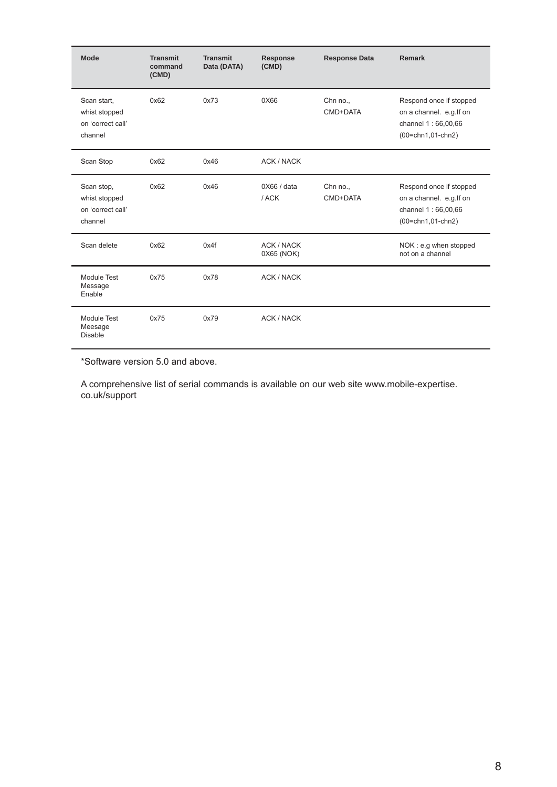| Mode                                                         | <b>Transmit</b><br>command<br>(CMD) | <b>Transmit</b><br>Data (DATA) | <b>Response</b><br>(CMD)        | <b>Response Data</b> | <b>Remark</b>                                                                                    |
|--------------------------------------------------------------|-------------------------------------|--------------------------------|---------------------------------|----------------------|--------------------------------------------------------------------------------------------------|
| Scan start,<br>whist stopped<br>on 'correct call'<br>channel | 0x62                                | 0x73                           | 0X66                            | Chn no.,<br>CMD+DATA | Respond once if stopped<br>on a channel. e.g. If on<br>channel 1 : 66,00,66<br>(00=chn1,01-chn2) |
| Scan Stop                                                    | 0x62                                | 0x46                           | <b>ACK / NACK</b>               |                      |                                                                                                  |
| Scan stop,<br>whist stopped<br>on 'correct call'<br>channel  | 0x62                                | 0x46                           | 0X66 / data<br>/ACK             | Chn no.,<br>CMD+DATA | Respond once if stopped<br>on a channel. e.g. If on<br>channel 1 : 66,00,66<br>(00=chn1,01-chn2) |
| Scan delete                                                  | 0x62                                | 0x4f                           | <b>ACK / NACK</b><br>0X65 (NOK) |                      | NOK: e.g when stopped<br>not on a channel                                                        |
| Module Test<br>Message<br>Enable                             | 0x75                                | 0x78                           | <b>ACK / NACK</b>               |                      |                                                                                                  |
| Module Test<br>Meesage<br><b>Disable</b>                     | 0x75                                | 0x79                           | <b>ACK / NACK</b>               |                      |                                                                                                  |

\*Software version 5.0 and above.

A comprehensive list of serial commands is available on our web site www.mobile-expertise. co.uk/support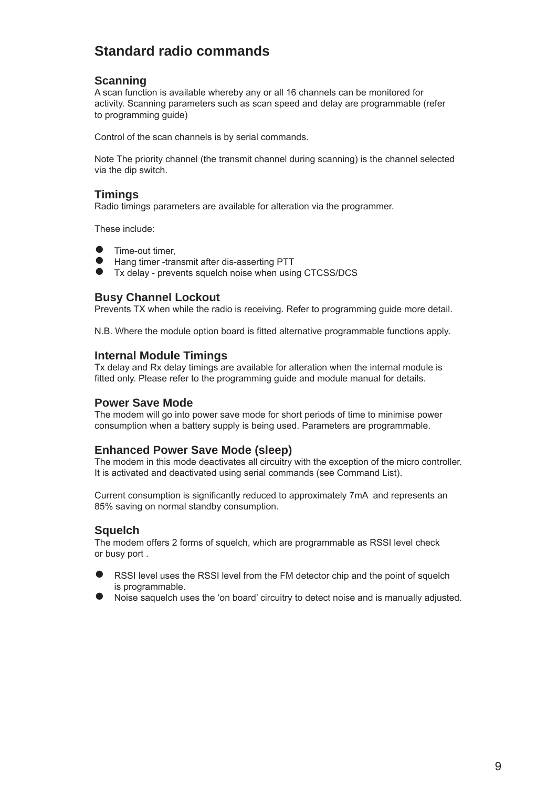## **Standard radio commands**

#### **Scanning**

A scan function is available whereby any or all 16 channels can be monitored for activity. Scanning parameters such as scan speed and delay are programmable (refer to programming guide)

Control of the scan channels is by serial commands.

Note The priority channel (the transmit channel during scanning) is the channel selected via the dip switch.

#### **Timings**

Radio timings parameters are available for alteration via the programmer.

These include:

- Time-out timer, ●
- Hang timer -transmit after dis-asserting PTT ●
- Tx delay prevents squelch noise when using CTCSS/DCS  $\bullet$

#### **Busy Channel Lockout**

Prevents TX when while the radio is receiving. Refer to programming guide more detail.

N.B. Where the module option board is fitted alternative programmable functions apply.

#### **Internal Module Timings**

Tx delay and Rx delay timings are available for alteration when the internal module is fitted only. Please refer to the programming guide and module manual for details.

#### **Power Save Mode**

The modem will go into power save mode for short periods of time to minimise power consumption when a battery supply is being used. Parameters are programmable.

#### **Enhanced Power Save Mode (sleep)**

The modem in this mode deactivates all circuitry with the exception of the micro controller. It is activated and deactivated using serial commands (see Command List).

Current consumption is significantly reduced to approximately 7mA and represents an 85% saving on normal standby consumption.

#### **Squelch**

The modem offers 2 forms of squelch, which are programmable as RSSI level check or busy port .

- RSSI level uses the RSSI level from the FM detector chip and the point of squelch is programmable. ●
- Noise saquelch uses the 'on board' circuitry to detect noise and is manually adjusted. ●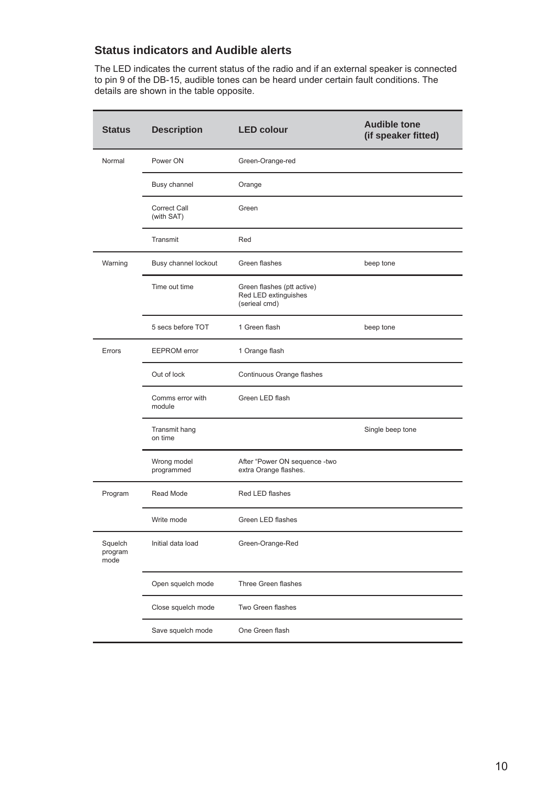#### **Status indicators and Audible alerts**

The LED indicates the current status of the radio and if an external speaker is connected to pin 9 of the DB-15, audible tones can be heard under certain fault conditions. The details are shown in the table opposite.

| <b>Status</b>              | <b>Description</b>                | <b>LED colour</b>                                                   | <b>Audible tone</b><br>(if speaker fitted) |
|----------------------------|-----------------------------------|---------------------------------------------------------------------|--------------------------------------------|
| Normal                     | Power ON                          | Green-Orange-red                                                    |                                            |
|                            | Busy channel                      | Orange                                                              |                                            |
|                            | <b>Correct Call</b><br>(with SAT) | Green                                                               |                                            |
|                            | Transmit                          | Red                                                                 |                                            |
| Warning                    | Busy channel lockout              | Green flashes                                                       | beep tone                                  |
|                            | Time out time                     | Green flashes (ptt active)<br>Red LED extinguishes<br>(serieal cmd) |                                            |
|                            | 5 secs before TOT                 | 1 Green flash                                                       | beep tone                                  |
| Errors                     | <b>EEPROM</b> error               | 1 Orange flash                                                      |                                            |
|                            | Out of lock                       | Continuous Orange flashes                                           |                                            |
|                            | Comms error with<br>module        | Green LED flash                                                     |                                            |
|                            | Transmit hang<br>on time          |                                                                     | Single beep tone                           |
|                            | Wrong model<br>programmed         | After "Power ON sequence -two<br>extra Orange flashes.              |                                            |
| Program                    | Read Mode                         | Red LED flashes                                                     |                                            |
|                            | Write mode                        | Green LED flashes                                                   |                                            |
| Squelch<br>program<br>mode | Initial data load                 | Green-Orange-Red                                                    |                                            |
|                            | Open squelch mode                 | Three Green flashes                                                 |                                            |
|                            | Close squelch mode                | Two Green flashes                                                   |                                            |
|                            | Save squelch mode                 | One Green flash                                                     |                                            |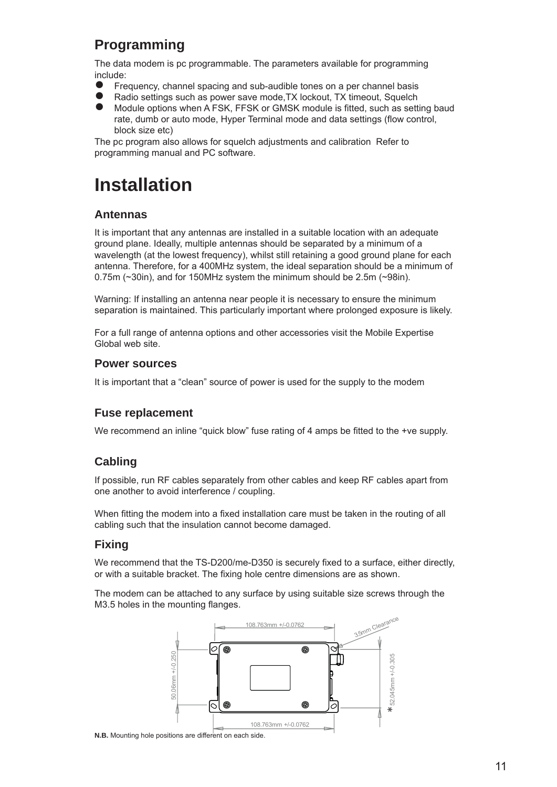## **Programming**

The data modem is pc programmable. The parameters available for programming include:

- Frequency, channel spacing and sub-audible tones on a per channel basis ●
- Radio settings such as power save mode,TX lockout, TX timeout, Squelch ●
- Module options when A FSK, FFSK or GMSK module is fitted, such as setting baud rate, dumb or auto mode, Hyper Terminal mode and data settings (flow control, block size etc)  $\ddot{\bullet}$

The pc program also allows for squelch adjustments and calibration Refer to programming manual and PC software.

## **Installation**

#### **Antennas**

It is important that any antennas are installed in a suitable location with an adequate ground plane. Ideally, multiple antennas should be separated by a minimum of a wavelength (at the lowest frequency), whilst still retaining a good ground plane for each antenna. Therefore, for a 400MHz system, the ideal separation should be a minimum of 0.75m (~30in), and for 150MHz system the minimum should be 2.5m (~98in).

Warning: If installing an antenna near people it is necessary to ensure the minimum separation is maintained. This particularly important where prolonged exposure is likely.

For a full range of antenna options and other accessories visit the Mobile Expertise Global web site.

#### **Power sources**

It is important that a "clean" source of power is used for the supply to the modem

#### **Fuse replacement**

We recommend an inline "quick blow" fuse rating of 4 amps be fitted to the +ve supply.

#### **Cabling**

If possible, run RF cables separately from other cables and keep RF cables apart from one another to avoid interference / coupling.

When fitting the modem into a fixed installation care must be taken in the routing of all cabling such that the insulation cannot become damaged.

#### **Fixing**

We recommend that the TS-D200/me-D350 is securely fixed to a surface, either directly, or with a suitable bracket. The fixing hole centre dimensions are as shown.

The modem can be attached to any surface by using suitable size screws through the M3.5 holes in the mounting flanges.



**N.B.** Mounting hole positions are different on each side.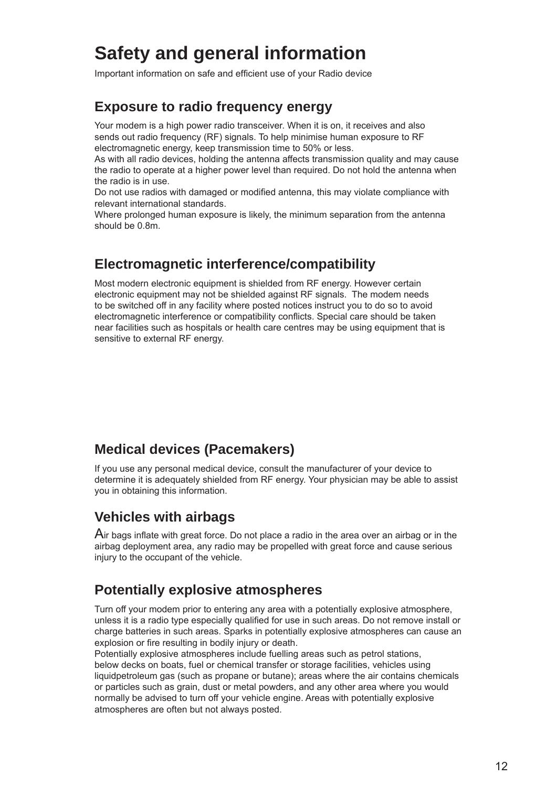## **Safety and general information**

Important information on safe and efficient use of your Radio device

### **Exposure to radio frequency energy**

Your modem is a high power radio transceiver. When it is on, it receives and also sends out radio frequency (RF) signals. To help minimise human exposure to RF electromagnetic energy, keep transmission time to 50% or less.

As with all radio devices, holding the antenna affects transmission quality and may cause the radio to operate at a higher power level than required. Do not hold the antenna when the radio is in use.

Do not use radios with damaged or modified antenna, this may violate compliance with relevant international standards.

Where prolonged human exposure is likely, the minimum separation from the antenna should be 0.8m.

### **Electromagnetic interference/compatibility**

Most modern electronic equipment is shielded from RF energy. However certain electronic equipment may not be shielded against RF signals. The modem needs to be switched off in any facility where posted notices instruct you to do so to avoid electromagnetic interference or compatibility conflicts. Special care should be taken near facilities such as hospitals or health care centres may be using equipment that is sensitive to external RF energy.

## **Medical devices (Pacemakers)**

If you use any personal medical device, consult the manufacturer of your device to determine it is adequately shielded from RF energy. Your physician may be able to assist you in obtaining this information.

## **Vehicles with airbags**

 $A$ ir bags inflate with great force. Do not place a radio in the area over an airbag or in the airbag deployment area, any radio may be propelled with great force and cause serious injury to the occupant of the vehicle.

## **Potentially explosive atmospheres**

Turn off your modem prior to entering any area with a potentially explosive atmosphere, unless it is a radio type especially qualified for use in such areas. Do not remove install or charge batteries in such areas. Sparks in potentially explosive atmospheres can cause an explosion or fire resulting in bodily injury or death.

Potentially explosive atmospheres include fuelling areas such as petrol stations, below decks on boats, fuel or chemical transfer or storage facilities, vehicles using liquidpetroleum gas (such as propane or butane); areas where the air contains chemicals or particles such as grain, dust or metal powders, and any other area where you would normally be advised to turn off your vehicle engine. Areas with potentially explosive atmospheres are often but not always posted.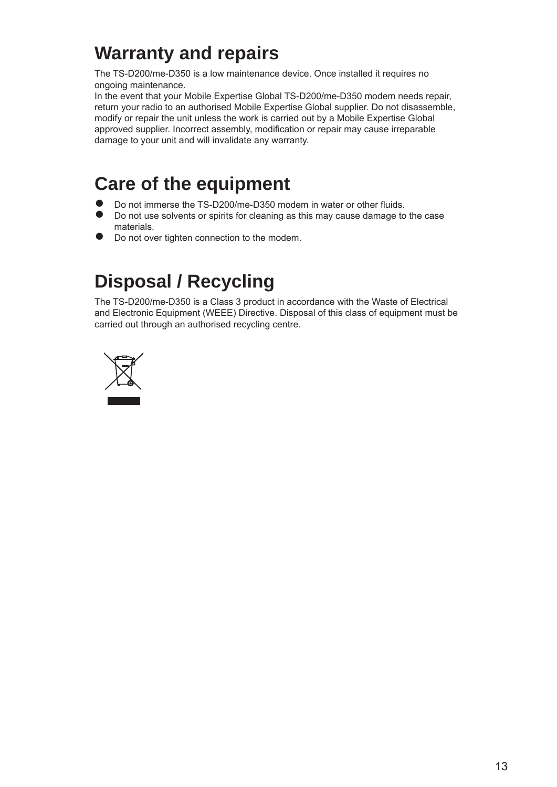## **Warranty and repairs**

The TS-D200/me-D350 is a low maintenance device. Once installed it requires no ongoing maintenance.

In the event that your Mobile Expertise Global TS-D200/me-D350 modem needs repair, return your radio to an authorised Mobile Expertise Global supplier. Do not disassemble, modify or repair the unit unless the work is carried out by a Mobile Expertise Global approved supplier. Incorrect assembly, modification or repair may cause irreparable damage to your unit and will invalidate any warranty.

## **Care of the equipment**

- Do not immerse the TS-D200/me-D350 modem in water or other fluids. ●
- Do not use solvents or spirits for cleaning as this may cause damage to the case materials.  $\bullet$
- Do not over tighten connection to the modem. ●

## **Disposal / Recycling**

The TS-D200/me-D350 is a Class 3 product in accordance with the Waste of Electrical and Electronic Equipment (WEEE) Directive. Disposal of this class of equipment must be carried out through an authorised recycling centre.

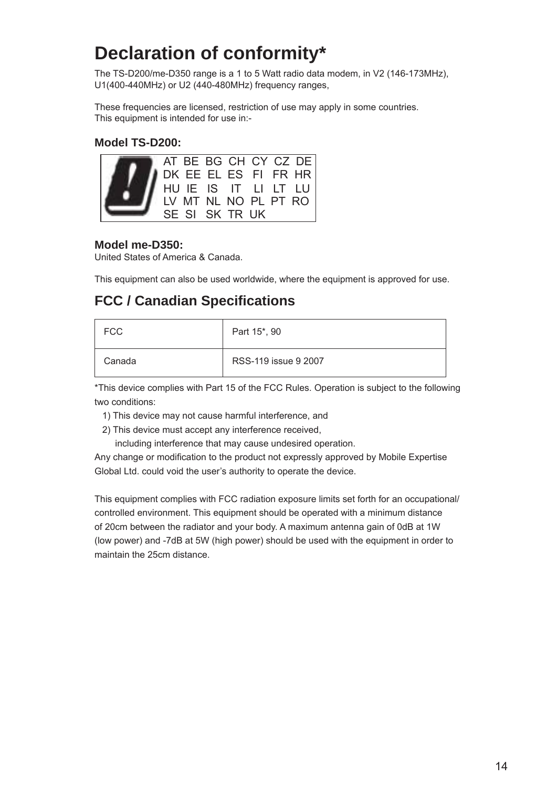## **Declaration of conformity\***

The TS-D200/me-D350 range is a 1 to 5 Watt radio data modem, in V2 (146-173MHz), U1(400-440MHz) or U2 (440-480MHz) frequency ranges,

These frequencies are licensed, restriction of use may apply in some countries. This equipment is intended for use in:-

#### **Model TS-D200:**



#### **Model me-D350:**

United States of America & Canada.

This equipment can also be used worldwide, where the equipment is approved for use.

### **FCC / Canadian Specifi cations**

| <b>FCC</b> | Part 15*, 90         |
|------------|----------------------|
| Canada     | RSS-119 issue 9 2007 |

\*This device complies with Part 15 of the FCC Rules. Operation is subject to the following two conditions:

- 1) This device may not cause harmful interference, and
- 2) This device must accept any interference received,

including interference that may cause undesired operation.

Any change or modification to the product not expressly approved by Mobile Expertise Global Ltd. could void the user's authority to operate the device.

This equipment complies with FCC radiation exposure limits set forth for an occupational/ controlled environment. This equipment should be operated with a minimum distance of 20cm between the radiator and your body. A maximum antenna gain of 0dB at 1W (low power) and -7dB at 5W (high power) should be used with the equipment in order to maintain the 25cm distance.